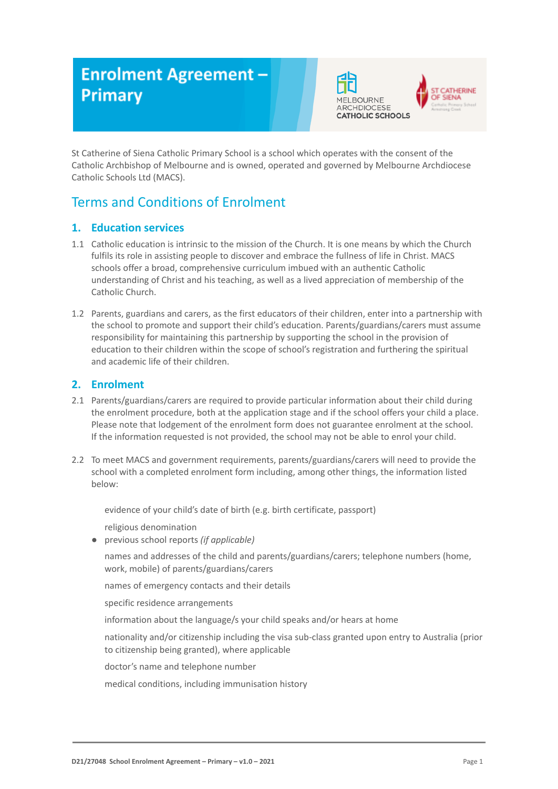# **Enrolment Agreement -Primary**





St Catherine of Siena Catholic Primary School is a school which operates with the consent of the Catholic Archbishop of Melbourne and is owned, operated and governed by Melbourne Archdiocese Catholic Schools Ltd (MACS).

# Terms and Conditions of Enrolment

# **1. Education services**

- 1.1 Catholic education is intrinsic to the mission of the Church. It is one means by which the Church fulfils its role in assisting people to discover and embrace the fullness of life in Christ. MACS schools offer a broad, comprehensive curriculum imbued with an authentic Catholic understanding of Christ and his teaching, as well as a lived appreciation of membership of the Catholic Church.
- 1.2 Parents, guardians and carers, as the first educators of their children, enter into a partnership with the school to promote and support their child's education. Parents/guardians/carers must assume responsibility for maintaining this partnership by supporting the school in the provision of education to their children within the scope of school's registration and furthering the spiritual and academic life of their children.

# **2. Enrolment**

- 2.1 Parents/guardians/carers are required to provide particular information about their child during the enrolment procedure, both at the application stage and if the school offers your child a place. Please note that lodgement of the enrolment form does not guarantee enrolment at the school. If the information requested is not provided, the school may not be able to enrol your child.
- 2.2 To meet MACS and government requirements, parents/guardians/carers will need to provide the school with a completed enrolment form including, among other things, the information listed below:

evidence of your child's date of birth (e.g. birth certificate, passport)

religious denomination

*●* previous school reports *(if applicable)*

names and addresses of the child and parents/guardians/carers; telephone numbers (home, work, mobile) of parents/guardians/carers

names of emergency contacts and their details

specific residence arrangements

information about the language/s your child speaks and/or hears at home

nationality and/or citizenship including the visa sub-class granted upon entry to Australia (prior to citizenship being granted), where applicable

doctor's name and telephone number

medical conditions, including immunisation history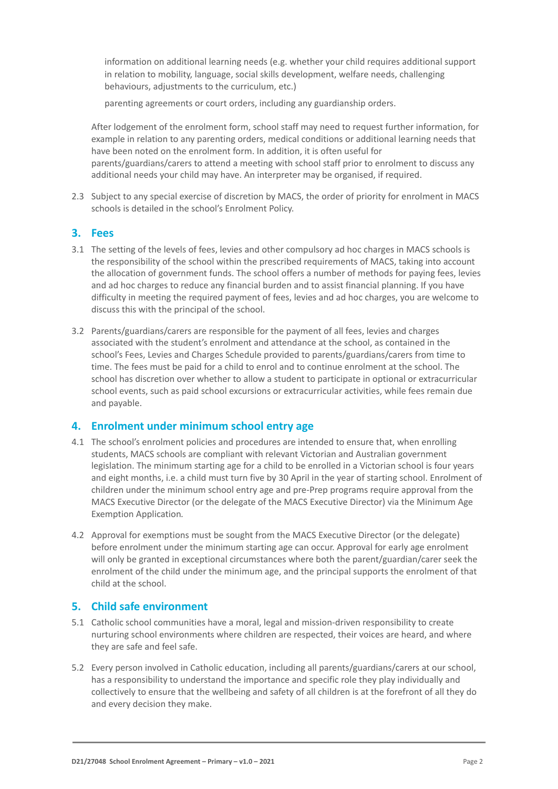information on additional learning needs (e.g. whether your child requires additional support in relation to mobility, language, social skills development, welfare needs, challenging behaviours, adjustments to the curriculum, etc.)

parenting agreements or court orders, including any guardianship orders.

After lodgement of the enrolment form, school staff may need to request further information, for example in relation to any parenting orders, medical conditions or additional learning needs that have been noted on the enrolment form. In addition, it is often useful for parents/guardians/carers to attend a meeting with school staff prior to enrolment to discuss any additional needs your child may have. An interpreter may be organised, if required.

2.3 Subject to any special exercise of discretion by MACS, the order of priority for enrolment in MACS schools is detailed in the school's Enrolment Policy.

## **3. Fees**

- 3.1 The setting of the levels of fees, levies and other compulsory ad hoc charges in MACS schools is the responsibility of the school within the prescribed requirements of MACS, taking into account the allocation of government funds. The school offers a number of methods for paying fees, levies and ad hoc charges to reduce any financial burden and to assist financial planning. If you have difficulty in meeting the required payment of fees, levies and ad hoc charges, you are welcome to discuss this with the principal of the school.
- 3.2 Parents/guardians/carers are responsible for the payment of all fees, levies and charges associated with the student's enrolment and attendance at the school, as contained in the school's Fees, Levies and Charges Schedule provided to parents/guardians/carers from time to time. The fees must be paid for a child to enrol and to continue enrolment at the school. The school has discretion over whether to allow a student to participate in optional or extracurricular school events, such as paid school excursions or extracurricular activities, while fees remain due and payable.

## **4. Enrolment under minimum school entry age**

- 4.1 The school's enrolment policies and procedures are intended to ensure that, when enrolling students, MACS schools are compliant with relevant Victorian and Australian government legislation. The minimum starting age for a child to be enrolled in a Victorian school is four years and eight months, i.e. a child must turn five by 30 April in the year of starting school. Enrolment of children under the minimum school entry age and pre-Prep programs require approval from the MACS Executive Director (or the delegate of the MACS Executive Director) via the Minimum Age Exemption Application*.*
- 4.2 Approval for exemptions must be sought from the MACS Executive Director (or the delegate) before enrolment under the minimum starting age can occur. Approval for early age enrolment will only be granted in exceptional circumstances where both the parent/guardian/carer seek the enrolment of the child under the minimum age, and the principal supports the enrolment of that child at the school.

## **5. Child safe environment**

- 5.1 Catholic school communities have a moral, legal and mission-driven responsibility to create nurturing school environments where children are respected, their voices are heard, and where they are safe and feel safe.
- 5.2 Every person involved in Catholic education, including all parents/guardians/carers at our school, has a responsibility to understand the importance and specific role they play individually and collectively to ensure that the wellbeing and safety of all children is at the forefront of all they do and every decision they make.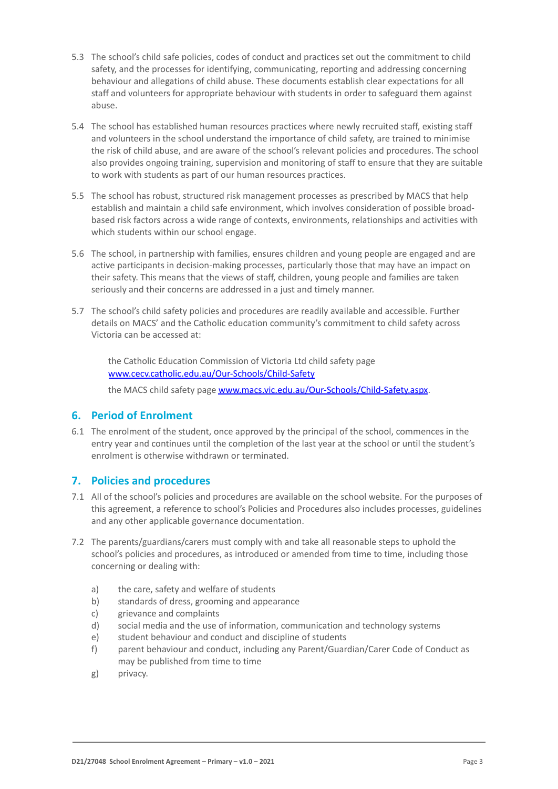- 5.3 The school's child safe policies, codes of conduct and practices set out the commitment to child safety, and the processes for identifying, communicating, reporting and addressing concerning behaviour and allegations of child abuse. These documents establish clear expectations for all staff and volunteers for appropriate behaviour with students in order to safeguard them against abuse.
- 5.4 The school has established human resources practices where newly recruited staff, existing staff and volunteers in the school understand the importance of child safety, are trained to minimise the risk of child abuse, and are aware of the school's relevant policies and procedures. The school also provides ongoing training, supervision and monitoring of staff to ensure that they are suitable to work with students as part of our human resources practices.
- 5.5 The school has robust, structured risk management processes as prescribed by MACS that help establish and maintain a child safe environment, which involves consideration of possible broadbased risk factors across a wide range of contexts, environments, relationships and activities with which students within our school engage.
- 5.6 The school, in partnership with families, ensures children and young people are engaged and are active participants in decision-making processes, particularly those that may have an impact on their safety. This means that the views of staff, children, young people and families are taken seriously and their concerns are addressed in a just and timely manner.
- 5.7 The school's child safety policies and procedures are readily available and accessible. Further details on MACS' and the Catholic education community's commitment to child safety across Victoria can be accessed at:

the Catholic Education Commission of Victoria Ltd child safety page [www.cecv.catholic.edu.au/Our-Schools/Child-Safety](http://www.cecv.catholic.edu.au/Our-Schools/Child-Safety)

the MACS child safety page [www.macs.vic.edu.au/Our-Schools/Child-Safety.aspx](http://www.macs.vic.edu.au/Our-Schools/Child-Safety.aspx).

## **6. Period of Enrolment**

6.1 The enrolment of the student, once approved by the principal of the school, commences in the entry year and continues until the completion of the last year at the school or until the student's enrolment is otherwise withdrawn or terminated.

# **7. Policies and procedures**

- 7.1 All of the school's policies and procedures are available on the school website. For the purposes of this agreement, a reference to school's Policies and Procedures also includes processes, guidelines and any other applicable governance documentation.
- 7.2 The parents/guardians/carers must comply with and take all reasonable steps to uphold the school's policies and procedures, as introduced or amended from time to time, including those concerning or dealing with:
	- a) the care, safety and welfare of students
	- b) standards of dress, grooming and appearance
	- c) grievance and complaints
	- d) social media and the use of information, communication and technology systems
	- e) student behaviour and conduct and discipline of students
	- f) parent behaviour and conduct, including any Parent/Guardian/Carer Code of Conduct as may be published from time to time
	- g) privacy.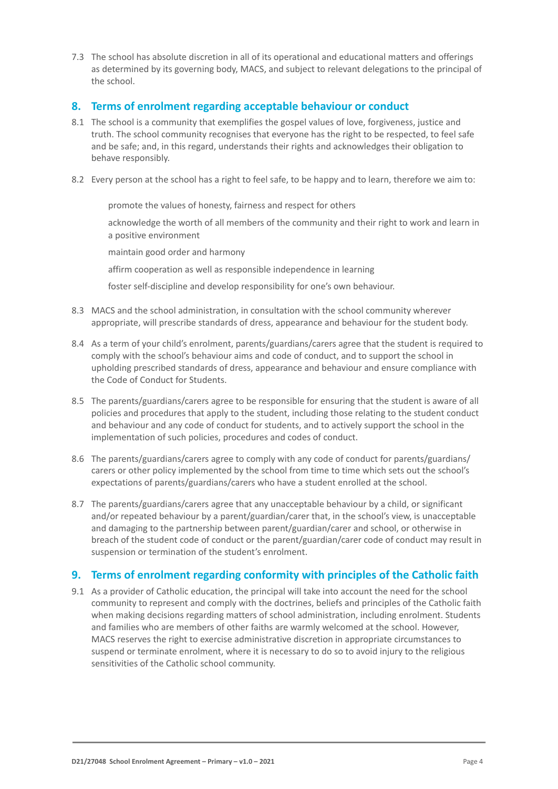7.3 The school has absolute discretion in all of its operational and educational matters and offerings as determined by its governing body, MACS, and subject to relevant delegations to the principal of the school.

# **8. Terms of enrolment regarding acceptable behaviour or conduct**

- 8.1 The school is a community that exemplifies the gospel values of love, forgiveness, justice and truth. The school community recognises that everyone has the right to be respected, to feel safe and be safe; and, in this regard, understands their rights and acknowledges their obligation to behave responsibly.
- 8.2 Every person at the school has a right to feel safe, to be happy and to learn, therefore we aim to:

promote the values of honesty, fairness and respect for others

acknowledge the worth of all members of the community and their right to work and learn in a positive environment

maintain good order and harmony

affirm cooperation as well as responsible independence in learning

foster self-discipline and develop responsibility for one's own behaviour.

- 8.3 MACS and the school administration, in consultation with the school community wherever appropriate, will prescribe standards of dress, appearance and behaviour for the student body.
- 8.4 As a term of your child's enrolment, parents/guardians/carers agree that the student is required to comply with the school's behaviour aims and code of conduct, and to support the school in upholding prescribed standards of dress, appearance and behaviour and ensure compliance with the Code of Conduct for Students.
- 8.5 The parents/guardians/carers agree to be responsible for ensuring that the student is aware of all policies and procedures that apply to the student, including those relating to the student conduct and behaviour and any code of conduct for students, and to actively support the school in the implementation of such policies, procedures and codes of conduct.
- 8.6 The parents/guardians/carers agree to comply with any code of conduct for parents/guardians/ carers or other policy implemented by the school from time to time which sets out the school's expectations of parents/guardians/carers who have a student enrolled at the school.
- 8.7 The parents/guardians/carers agree that any unacceptable behaviour by a child, or significant and/or repeated behaviour by a parent/guardian/carer that, in the school's view, is unacceptable and damaging to the partnership between parent/guardian/carer and school, or otherwise in breach of the student code of conduct or the parent/guardian/carer code of conduct may result in suspension or termination of the student's enrolment.

# **9. Terms of enrolment regarding conformity with principles of the Catholic faith**

9.1 As a provider of Catholic education, the principal will take into account the need for the school community to represent and comply with the doctrines, beliefs and principles of the Catholic faith when making decisions regarding matters of school administration, including enrolment. Students and families who are members of other faiths are warmly welcomed at the school. However, MACS reserves the right to exercise administrative discretion in appropriate circumstances to suspend or terminate enrolment, where it is necessary to do so to avoid injury to the religious sensitivities of the Catholic school community.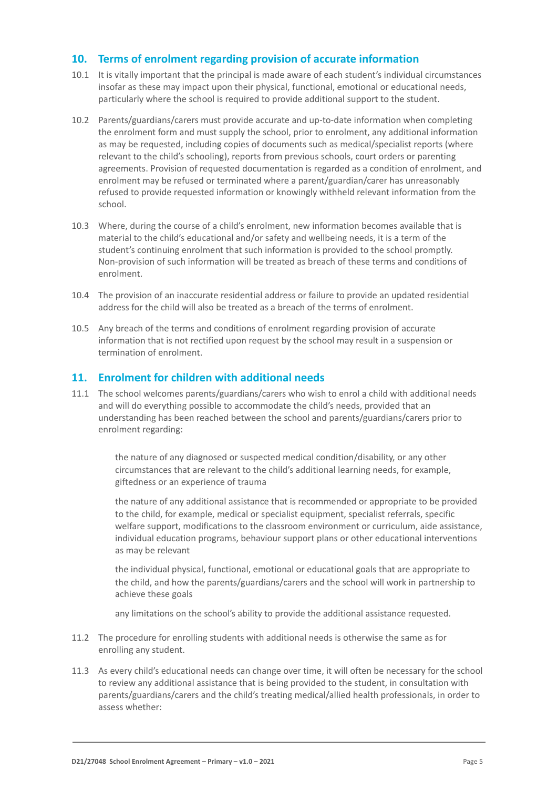# **10. Terms of enrolment regarding provision of accurate information**

- 10.1 It is vitally important that the principal is made aware of each student's individual circumstances insofar as these may impact upon their physical, functional, emotional or educational needs, particularly where the school is required to provide additional support to the student.
- 10.2 Parents/guardians/carers must provide accurate and up-to-date information when completing the enrolment form and must supply the school, prior to enrolment, any additional information as may be requested, including copies of documents such as medical/specialist reports (where relevant to the child's schooling), reports from previous schools, court orders or parenting agreements. Provision of requested documentation is regarded as a condition of enrolment, and enrolment may be refused or terminated where a parent/guardian/carer has unreasonably refused to provide requested information or knowingly withheld relevant information from the school.
- 10.3 Where, during the course of a child's enrolment, new information becomes available that is material to the child's educational and/or safety and wellbeing needs, it is a term of the student's continuing enrolment that such information is provided to the school promptly. Non-provision of such information will be treated as breach of these terms and conditions of enrolment.
- 10.4 The provision of an inaccurate residential address or failure to provide an updated residential address for the child will also be treated as a breach of the terms of enrolment.
- 10.5 Any breach of the terms and conditions of enrolment regarding provision of accurate information that is not rectified upon request by the school may result in a suspension or termination of enrolment.

## **11. Enrolment for children with additional needs**

11.1 The school welcomes parents/guardians/carers who wish to enrol a child with additional needs and will do everything possible to accommodate the child's needs, provided that an understanding has been reached between the school and parents/guardians/carers prior to enrolment regarding:

> the nature of any diagnosed or suspected medical condition/disability, or any other circumstances that are relevant to the child's additional learning needs, for example, giftedness or an experience of trauma

the nature of any additional assistance that is recommended or appropriate to be provided to the child, for example, medical or specialist equipment, specialist referrals, specific welfare support, modifications to the classroom environment or curriculum, aide assistance, individual education programs, behaviour support plans or other educational interventions as may be relevant

the individual physical, functional, emotional or educational goals that are appropriate to the child, and how the parents/guardians/carers and the school will work in partnership to achieve these goals

any limitations on the school's ability to provide the additional assistance requested.

- 11.2 The procedure for enrolling students with additional needs is otherwise the same as for enrolling any student.
- 11.3 As every child's educational needs can change over time, it will often be necessary for the school to review any additional assistance that is being provided to the student, in consultation with parents/guardians/carers and the child's treating medical/allied health professionals, in order to assess whether: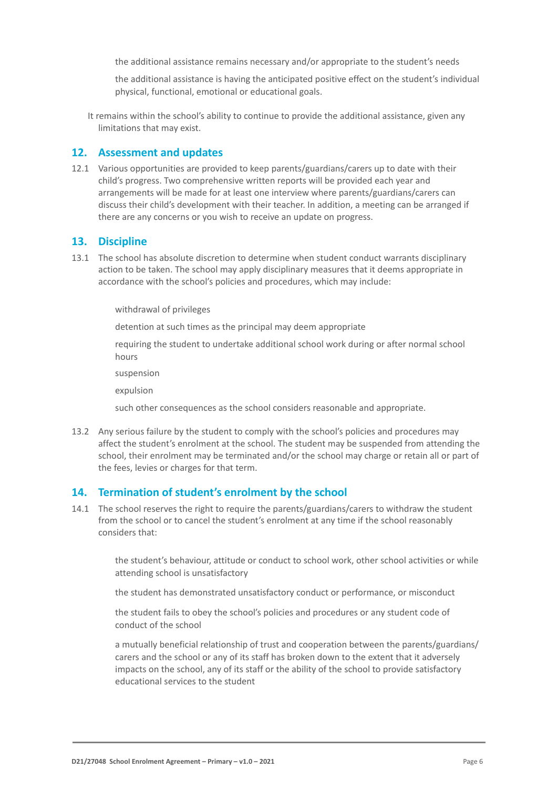the additional assistance remains necessary and/or appropriate to the student's needs

the additional assistance is having the anticipated positive effect on the student's individual physical, functional, emotional or educational goals.

It remains within the school's ability to continue to provide the additional assistance, given any limitations that may exist.

## **12. Assessment and updates**

12.1 Various opportunities are provided to keep parents/guardians/carers up to date with their child's progress. Two comprehensive written reports will be provided each year and arrangements will be made for at least one interview where parents/guardians/carers can discuss their child's development with their teacher. In addition, a meeting can be arranged if there are any concerns or you wish to receive an update on progress.

# **13. Discipline**

13.1 The school has absolute discretion to determine when student conduct warrants disciplinary action to be taken. The school may apply disciplinary measures that it deems appropriate in accordance with the school's policies and procedures, which may include:

withdrawal of privileges

detention at such times as the principal may deem appropriate

requiring the student to undertake additional school work during or after normal school hours

suspension

expulsion

such other consequences as the school considers reasonable and appropriate.

13.2 Any serious failure by the student to comply with the school's policies and procedures may affect the student's enrolment at the school. The student may be suspended from attending the school, their enrolment may be terminated and/or the school may charge or retain all or part of the fees, levies or charges for that term.

## **14. Termination of student's enrolment by the school**

14.1 The school reserves the right to require the parents/guardians/carers to withdraw the student from the school or to cancel the student's enrolment at any time if the school reasonably considers that:

> the student's behaviour, attitude or conduct to school work, other school activities or while attending school is unsatisfactory

the student has demonstrated unsatisfactory conduct or performance, or misconduct

the student fails to obey the school's policies and procedures or any student code of conduct of the school

a mutually beneficial relationship of trust and cooperation between the parents/guardians/ carers and the school or any of its staff has broken down to the extent that it adversely impacts on the school, any of its staff or the ability of the school to provide satisfactory educational services to the student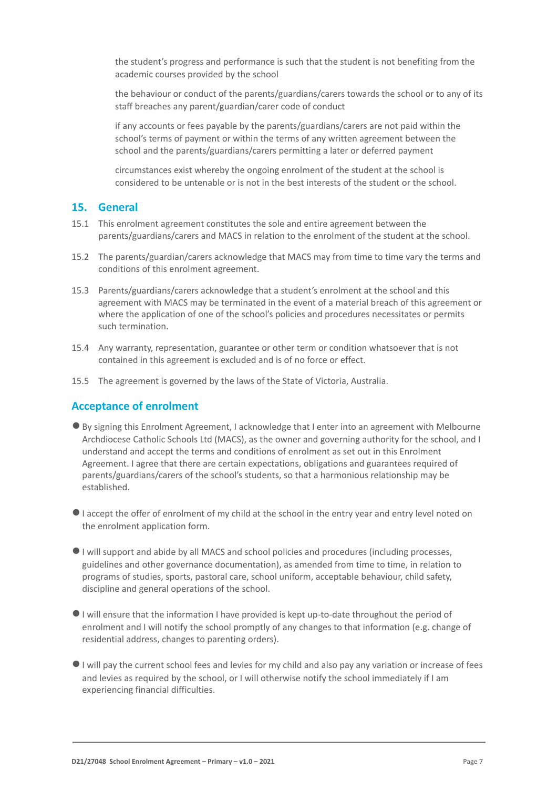the student's progress and performance is such that the student is not benefiting from the academic courses provided by the school

the behaviour or conduct of the parents/guardians/carers towards the school or to any of its staff breaches any parent/guardian/carer code of conduct

if any accounts or fees payable by the parents/guardians/carers are not paid within the school's terms of payment or within the terms of any written agreement between the school and the parents/guardians/carers permitting a later or deferred payment

circumstances exist whereby the ongoing enrolment of the student at the school is considered to be untenable or is not in the best interests of the student or the school.

#### **15. General**

- 15.1 This enrolment agreement constitutes the sole and entire agreement between the parents/guardians/carers and MACS in relation to the enrolment of the student at the school.
- 15.2 The parents/guardian/carers acknowledge that MACS may from time to time vary the terms and conditions of this enrolment agreement.
- 15.3 Parents/guardians/carers acknowledge that a student's enrolment at the school and this agreement with MACS may be terminated in the event of a material breach of this agreement or where the application of one of the school's policies and procedures necessitates or permits such termination.
- 15.4 Any warranty, representation, guarantee or other term or condition whatsoever that is not contained in this agreement is excluded and is of no force or effect.
- 15.5 The agreement is governed by the laws of the State of Victoria, Australia.

#### **Acceptance of enrolment**

- ●By signing this Enrolment Agreement, I acknowledge that I enter into an agreement with Melbourne Archdiocese Catholic Schools Ltd (MACS), as the owner and governing authority for the school, and I understand and accept the terms and conditions of enrolment as set out in this Enrolment Agreement. I agree that there are certain expectations, obligations and guarantees required of parents/guardians/carers of the school's students, so that a harmonious relationship may be established.
- ●I accept the offer of enrolment of my child at the school in the entry year and entry level noted on the enrolment application form.
- ●I will support and abide by all MACS and school policies and procedures (including processes, guidelines and other governance documentation), as amended from time to time, in relation to programs of studies, sports, pastoral care, school uniform, acceptable behaviour, child safety, discipline and general operations of the school.
- ●I will ensure that the information I have provided is kept up-to-date throughout the period of enrolment and I will notify the school promptly of any changes to that information (e.g. change of residential address, changes to parenting orders).
- ●I will pay the current school fees and levies for my child and also pay any variation or increase of fees and levies as required by the school, or I will otherwise notify the school immediately if I am experiencing financial difficulties.